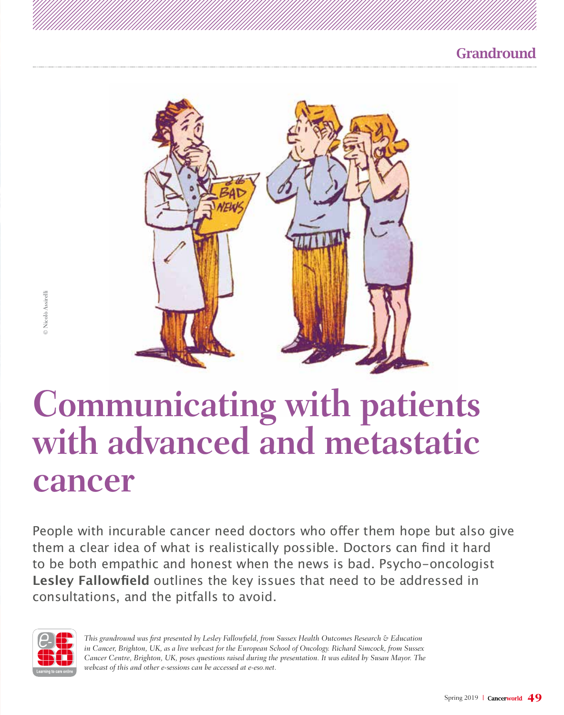



# **Communicating with patients with advanced and metastatic cancer**

People with incurable cancer need doctors who offer them hope but also give them a clear idea of what is realistically possible. Doctors can find it hard to be both empathic and honest when the news is bad. Psycho-oncologist **Lesley Fallowfield** outlines the key issues that need to be addressed in consultations, and the pitfalls to avoid.



*This grandround was first presented by Lesley Fallowfield, from Sussex Health Outcomes Research & Education in Cancer, Brighton, UK, as a live webcast for the European School of Oncology. Richard Simcock, from Sussex Cancer Centre, Brighton, UK, poses questions raised during the presentation. It was edited by Susan Mayor. The webcast of this and other e-sessions can be accessed at e-eso.net.*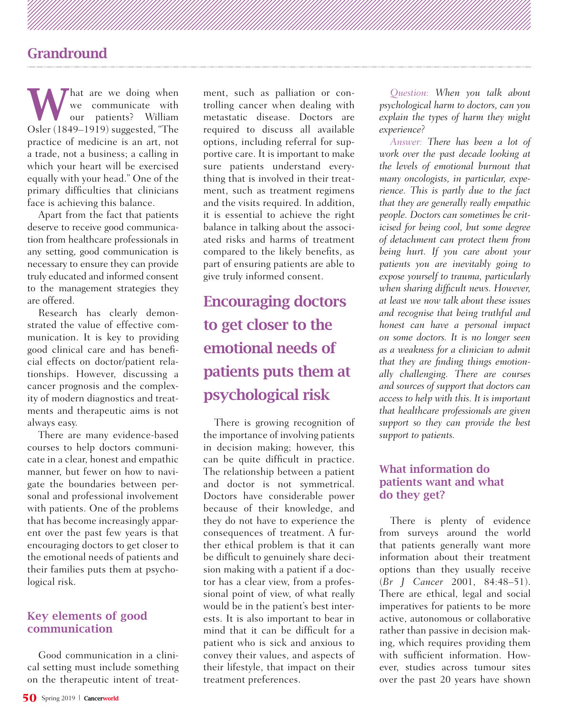What are we doing when<br>
we communicate with<br>
or patients? William<br>
or (1840, 1919) were ated "The we communicate with Osler (1849–1919) suggested, "The practice of medicine is an art, not a trade, not a business; a calling in which your heart will be exercised equally with your head." One of the primary difficulties that clinicians face is achieving this balance.

Apart from the fact that patients deserve to receive good communication from healthcare professionals in any setting, good communication is necessary to ensure they can provide truly educated and informed consent to the management strategies they are offered.

Research has clearly demonstrated the value of effective communication. It is key to providing good clinical care and has beneficial effects on doctor/patient relationships. However, discussing a cancer prognosis and the complexity of modern diagnostics and treatments and therapeutic aims is not always easy.

There are many evidence-based courses to help doctors communicate in a clear, honest and empathic manner, but fewer on how to navigate the boundaries between personal and professional involvement with patients. One of the problems that has become increasingly apparent over the past few years is that encouraging doctors to get closer to the emotional needs of patients and their families puts them at psychological risk.

### Key elements of good communication

Good communication in a clinical setting must include something on the therapeutic intent of treatment, such as palliation or controlling cancer when dealing with metastatic disease. Doctors are required to discuss all available options, including referral for supportive care. It is important to make sure patients understand everything that is involved in their treatment, such as treatment regimens and the visits required. In addition, it is essential to achieve the right balance in talking about the associated risks and harms of treatment compared to the likely benefits, as part of ensuring patients are able to give truly informed consent.

# Encouraging doctors to get closer to the emotional needs of patients puts them at psychological risk

There is growing recognition of the importance of involving patients in decision making; however, this can be quite difficult in practice. The relationship between a patient and doctor is not symmetrical. Doctors have considerable power because of their knowledge, and they do not have to experience the consequences of treatment. A further ethical problem is that it can be difficult to genuinely share decision making with a patient if a doctor has a clear view, from a professional point of view, of what really would be in the patient's best interests. It is also important to bear in mind that it can be difficult for a patient who is sick and anxious to convey their values, and aspects of their lifestyle, that impact on their treatment preferences.

*Question: When you talk about psychological harm to doctors, can you explain the types of harm they might experience?*

*Answer: There has been a lot of work over the past decade looking at the levels of emotional burnout that many oncologists, in particular, experience. This is partly due to the fact that they are generally really empathic people. Doctors can sometimes be criticised for being cool, but some degree of detachment can protect them from being hurt. If you care about your patients you are inevitably going to expose yourself to trauma, particularly when sharing difficult news. However, at least we now talk about these issues and recognise that being truthful and honest can have a personal impact on some doctors. It is no longer seen as a weakness for a clinician to admit that they are finding things emotionally challenging. There are courses and sources of support that doctors can access to help with this. It is important that healthcare professionals are given support so they can provide the best support to patients.* 

### What information do patients want and what do they get?

There is plenty of evidence from surveys around the world that patients generally want more information about their treatment options than they usually receive (*Br J Cancer* 2001, 84:48–51). There are ethical, legal and social imperatives for patients to be more active, autonomous or collaborative rather than passive in decision making, which requires providing them with sufficient information. However, studies across tumour sites over the past 20 years have shown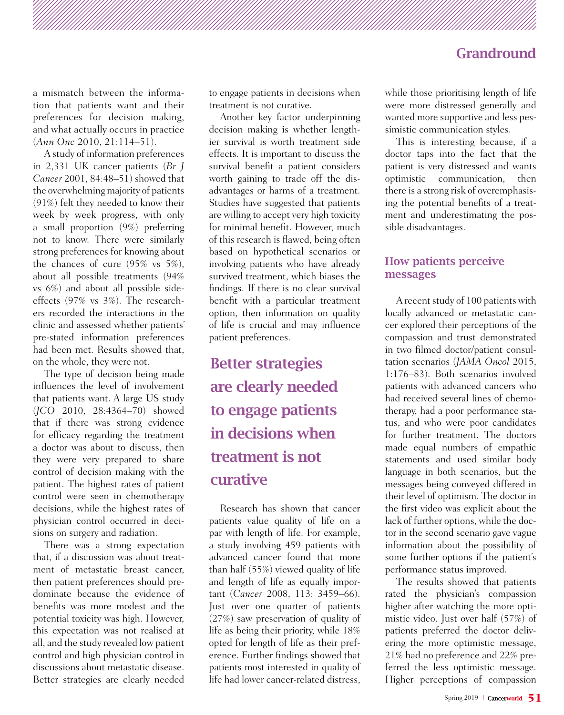a mismatch between the information that patients want and their preferences for decision making, and what actually occurs in practice (*Ann Onc* 2010, 21:114–51).

A study of information preferences in 2,331 UK cancer patients (*Br J Cancer* 2001, 84:48–51) showed that the overwhelming majority of patients (91%) felt they needed to know their week by week progress, with only a small proportion (9%) preferring not to know. There were similarly strong preferences for knowing about the chances of cure (95% vs 5%), about all possible treatments (94% vs 6%) and about all possible sideeffects (97% vs 3%). The researchers recorded the interactions in the clinic and assessed whether patients' pre-stated information preferences had been met. Results showed that, on the whole, they were not.

The type of decision being made influences the level of involvement that patients want. A large US study (*JCO* 2010, 28:4364–70) showed that if there was strong evidence for efficacy regarding the treatment a doctor was about to discuss, then they were very prepared to share control of decision making with the patient. The highest rates of patient control were seen in chemotherapy decisions, while the highest rates of physician control occurred in decisions on surgery and radiation.

There was a strong expectation that, if a discussion was about treatment of metastatic breast cancer, then patient preferences should predominate because the evidence of benefits was more modest and the potential toxicity was high. However, this expectation was not realised at all, and the study revealed low patient control and high physician control in discussions about metastatic disease. Better strategies are clearly needed to engage patients in decisions when treatment is not curative.

Another key factor underpinning decision making is whether lengthier survival is worth treatment side effects. It is important to discuss the survival benefit a patient considers worth gaining to trade off the disadvantages or harms of a treatment. Studies have suggested that patients are willing to accept very high toxicity for minimal benefit. However, much of this research is flawed, being often based on hypothetical scenarios or involving patients who have already survived treatment, which biases the findings. If there is no clear survival benefit with a particular treatment option, then information on quality of life is crucial and may influence patient preferences.

# Better strategies are clearly needed to engage patients in decisions when treatment is not curative

Research has shown that cancer patients value quality of life on a par with length of life. For example, a study involving 459 patients with advanced cancer found that more than half (55%) viewed quality of life and length of life as equally important (*Cancer* 2008, 113: 3459–66). Just over one quarter of patients (27%) saw preservation of quality of life as being their priority, while 18% opted for length of life as their preference. Further findings showed that patients most interested in quality of life had lower cancer-related distress,

while those prioritising length of life were more distressed generally and wanted more supportive and less pessimistic communication styles.

This is interesting because, if a doctor taps into the fact that the patient is very distressed and wants optimistic communication, then there is a strong risk of overemphasising the potential benefits of a treatment and underestimating the possible disadvantages.

### How patients perceive messages

A recent study of 100 patients with locally advanced or metastatic cancer explored their perceptions of the compassion and trust demonstrated in two filmed doctor/patient consultation scenarios (*JAMA Oncol* 2015, 1:176–83). Both scenarios involved patients with advanced cancers who had received several lines of chemotherapy, had a poor performance status, and who were poor candidates for further treatment. The doctors made equal numbers of empathic statements and used similar body language in both scenarios, but the messages being conveyed differed in their level of optimism. The doctor in the first video was explicit about the lack of further options, while the doctor in the second scenario gave vague information about the possibility of some further options if the patient's performance status improved.

The results showed that patients rated the physician's compassion higher after watching the more optimistic video. Just over half (57%) of patients preferred the doctor delivering the more optimistic message, 21% had no preference and 22% preferred the less optimistic message. Higher perceptions of compassion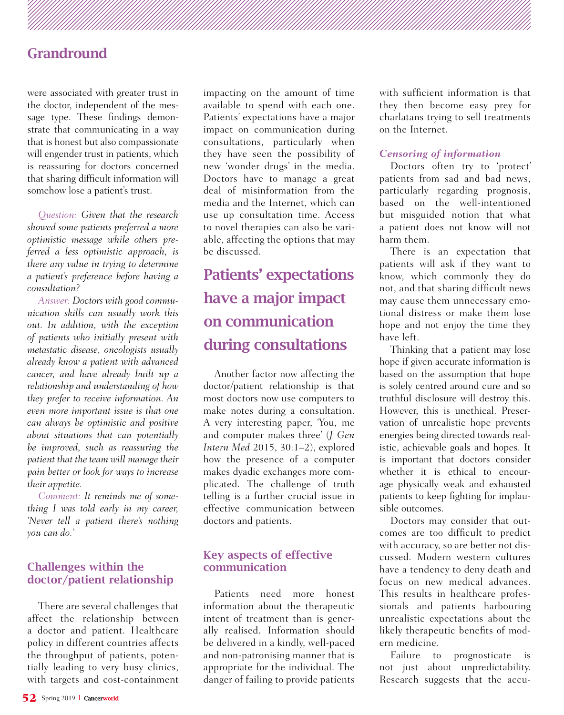were associated with greater trust in the doctor, independent of the message type. These findings demonstrate that communicating in a way that is honest but also compassionate will engender trust in patients, which is reassuring for doctors concerned that sharing difficult information will somehow lose a patient's trust.

*Question: Given that the research showed some patients preferred a more optimistic message while others preferred a less optimistic approach, is there any value in trying to determine a patient's preference before having a consultation?*

*Answer: Doctors with good communication skills can usually work this out. In addition, with the exception of patients who initially present with metastatic disease, oncologists usually already know a patient with advanced cancer, and have already built up a relationship and understanding of how they prefer to receive information. An even more important issue is that one can always be optimistic and positive about situations that can potentially be improved, such as reassuring the patient that the team will manage their pain better or look for ways to increase their appetite.*

*Comment: It reminds me of something I was told early in my career, 'Never tell a patient there's nothing you can do.'*

### Challenges within the doctor/patient relationship

There are several challenges that affect the relationship between a doctor and patient. Healthcare policy in different countries affects the throughput of patients, potentially leading to very busy clinics, with targets and cost-containment

impacting on the amount of time available to spend with each one. Patients' expectations have a major impact on communication during consultations, particularly when they have seen the possibility of new 'wonder drugs' in the media. Doctors have to manage a great deal of misinformation from the media and the Internet, which can use up consultation time. Access to novel therapies can also be variable, affecting the options that may be discussed.

# Patients' expectations have a major impact on communication during consultations

Another factor now affecting the doctor/patient relationship is that most doctors now use computers to make notes during a consultation. A very interesting paper, 'You, me and computer makes three' (*J Gen Intern Med* 2015, 30:1–2), explored how the presence of a computer makes dyadic exchanges more complicated. The challenge of truth telling is a further crucial issue in effective communication between doctors and patients.

### Key aspects of effective communication

Patients need more honest information about the therapeutic intent of treatment than is generally realised. Information should be delivered in a kindly, well-paced and non-patronising manner that is appropriate for the individual. The danger of failing to provide patients

with sufficient information is that they then become easy prey for charlatans trying to sell treatments on the Internet.

#### *Censoring of information*

Doctors often try to 'protect' patients from sad and bad news, particularly regarding prognosis, based on the well-intentioned but misguided notion that what a patient does not know will not harm them.

There is an expectation that patients will ask if they want to know, which commonly they do not, and that sharing difficult news may cause them unnecessary emotional distress or make them lose hope and not enjoy the time they have left.

Thinking that a patient may lose hope if given accurate information is based on the assumption that hope is solely centred around cure and so truthful disclosure will destroy this. However, this is unethical. Preservation of unrealistic hope prevents energies being directed towards realistic, achievable goals and hopes. It is important that doctors consider whether it is ethical to encourage physically weak and exhausted patients to keep fighting for implausible outcomes.

Doctors may consider that outcomes are too difficult to predict with accuracy, so are better not discussed. Modern western cultures have a tendency to deny death and focus on new medical advances. This results in healthcare professionals and patients harbouring unrealistic expectations about the likely therapeutic benefits of modern medicine.

Failure to prognosticate not just about unpredictability. Research suggests that the accu-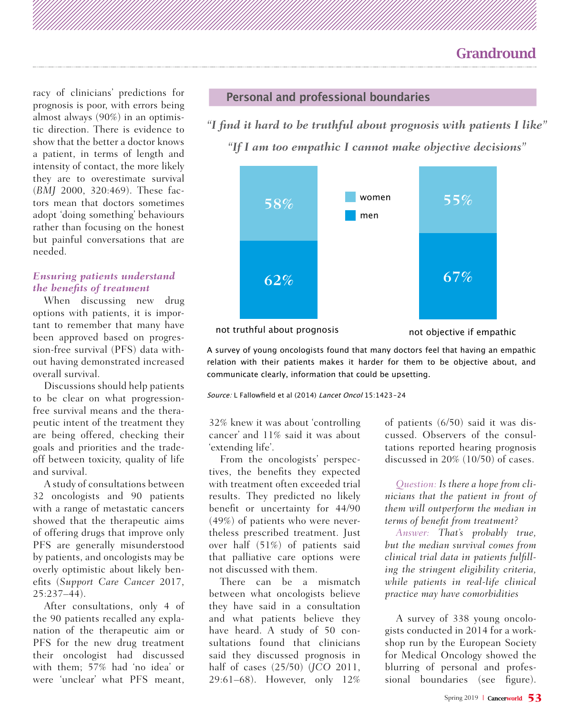racy of clinicians' predictions for prognosis is poor, with errors being almost always (90%) in an optimistic direction. There is evidence to show that the better a doctor knows a patient, in terms of length and intensity of contact, the more likely they are to overestimate survival (*BMJ* 2000, 320:469). These factors mean that doctors sometimes adopt 'doing something' behaviours rather than focusing on the honest but painful conversations that are needed.

#### *Ensuring patients understand the benefits of treatment*

When discussing new drug options with patients, it is important to remember that many have been approved based on progression-free survival (PFS) data without having demonstrated increased overall survival.

Discussions should help patients to be clear on what progressionfree survival means and the therapeutic intent of the treatment they are being offered, checking their goals and priorities and the tradeoff between toxicity, quality of life and survival.

A study of consultations between 32 oncologists and 90 patients with a range of metastatic cancers showed that the therapeutic aims of offering drugs that improve only PFS are generally misunderstood by patients, and oncologists may be overly optimistic about likely benefits (*Support Care Cancer* 2017, 25:237–44).

After consultations, only 4 of the 90 patients recalled any explanation of the therapeutic aim or PFS for the new drug treatment their oncologist had discussed with them; 57% had 'no idea' or were 'unclear' what PFS meant,

### **Personal and professional boundaries**

*"I find it hard to be truthful about prognosis with patients I like" "If I am too empathic I cannot make objective decisions"*



not truthful about prognosis

not objective if empathic

A survey of young oncologists found that many doctors feel that having an empathic relation with their patients makes it harder for them to be objective about, and communicate clearly, information that could be upsetting.

Source: L Fallowfield et al (2014) Lancet Oncol 15:1423-24

32% knew it was about 'controlling cancer' and 11% said it was about 'extending life'.

From the oncologists' perspectives, the benefits they expected with treatment often exceeded trial results. They predicted no likely benefit or uncertainty for 44/90 (49%) of patients who were nevertheless prescribed treatment. Just over half (51%) of patients said that palliative care options were not discussed with them.

There can be a mismatch between what oncologists believe they have said in a consultation and what patients believe they have heard. A study of 50 consultations found that clinicians said they discussed prognosis in half of cases (25/50) (*JCO* 2011, 29:61–68). However, only 12%

of patients (6/50) said it was discussed. Observers of the consultations reported hearing prognosis discussed in 20% (10/50) of cases.

*Question: Is there a hope from clinicians that the patient in front of them will outperform the median in terms of benefit from treatment?*

*Answer: That's probably true, but the median survival comes from clinical trial data in patients fulfilling the stringent eligibility criteria, while patients in real-life clinical practice may have comorbidities*

A survey of 338 young oncologists conducted in 2014 for a workshop run by the European Society for Medical Oncology showed the blurring of personal and professional boundaries (see figure).